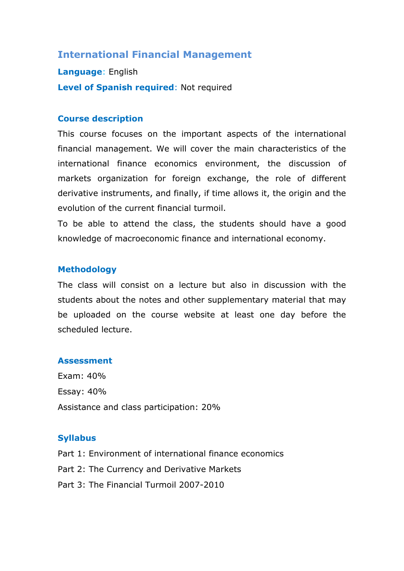# **International Financial Management**

**Language**: English **Level of Spanish required**: Not required

#### **Course description**

This course focuses on the important aspects of the international financial management. We will cover the main characteristics of the international finance economics environment, the discussion of markets organization for foreign exchange, the role of different derivative instruments, and finally, if time allows it, the origin and the evolution of the current financial turmoil.

To be able to attend the class, the students should have a good knowledge of macroeconomic finance and international economy.

### **Methodology**

The class will consist on a lecture but also in discussion with the students about the notes and other supplementary material that may be uploaded on the course website at least one day before the scheduled lecture.

#### **Assessment**

Exam: 40% Essay: 40% Assistance and class participation: 20%

### **Syllabus**

Part 1: Environment of international finance economics Part 2: The Currency and Derivative Markets Part 3: The Financial Turmoil 2007-2010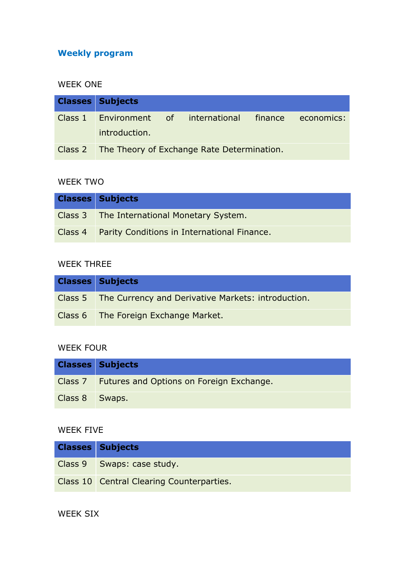# **Weekly program**

#### WEEK ONE

| <b>Classes Subjects</b> |                                                         |  |
|-------------------------|---------------------------------------------------------|--|
| introduction.           | Class 1 Environment of international finance economics: |  |
|                         | Class 2 The Theory of Exchange Rate Determination.      |  |

#### WEEK TWO

| <b>Classes Subjects</b>                             |
|-----------------------------------------------------|
| Class 3 The International Monetary System.          |
| Class 4 Parity Conditions in International Finance. |

# WEEK THREE

| <b>Classes Subjects</b>                                      |
|--------------------------------------------------------------|
| Class 5   The Currency and Derivative Markets: introduction. |
| Class 6 The Foreign Exchange Market.                         |

# WEEK FOUR

|                  | <b>Classes Subjects</b>                          |
|------------------|--------------------------------------------------|
|                  | Class 7 Futures and Options on Foreign Exchange. |
| Class 8   Swaps. |                                                  |

# WEEK FIVE

| <b>Classes Subjects</b>                   |
|-------------------------------------------|
| Class 9   Swaps: case study.              |
| Class 10 Central Clearing Counterparties. |

## WEEK SIX